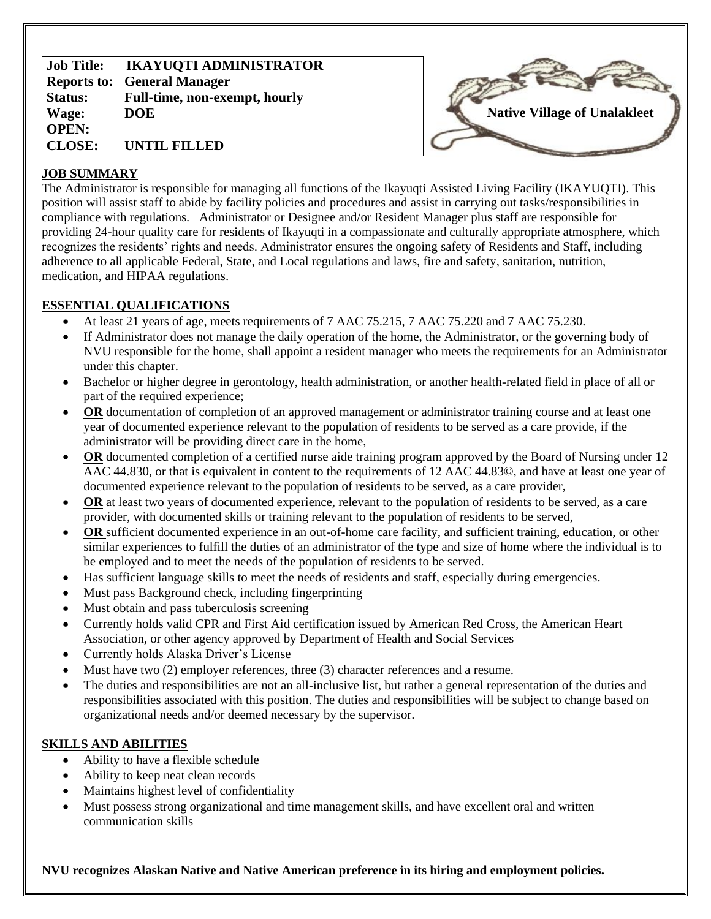**Job Title: Reports to: General Manager Status: Wage: OPEN: CLOSE: IKAYUQTI ADMINISTRATOR Full-time, non-exempt, hourly DOE UNTIL FILLED**



### **JOB SUMMARY**

The Administrator is responsible for managing all functions of the Ikayuqti Assisted Living Facility (IKAYUQTI). This position will assist staff to abide by facility policies and procedures and assist in carrying out tasks/responsibilities in compliance with regulations. Administrator or Designee and/or Resident Manager plus staff are responsible for providing 24-hour quality care for residents of Ikayuqti in a compassionate and culturally appropriate atmosphere, which recognizes the residents' rights and needs. Administrator ensures the ongoing safety of Residents and Staff, including adherence to all applicable Federal, State, and Local regulations and laws, fire and safety, sanitation, nutrition, medication, and HIPAA regulations.

# **ESSENTIAL QUALIFICATIONS**

- At least 21 years of age, meets requirements of 7 AAC 75.215, 7 AAC 75.220 and 7 AAC 75.230.
- If Administrator does not manage the daily operation of the home, the Administrator, or the governing body of NVU responsible for the home, shall appoint a resident manager who meets the requirements for an Administrator under this chapter.
- Bachelor or higher degree in gerontology, health administration, or another health-related field in place of all or part of the required experience;
- **OR** documentation of completion of an approved management or administrator training course and at least one year of documented experience relevant to the population of residents to be served as a care provide, if the administrator will be providing direct care in the home,
- **OR** documented completion of a certified nurse aide training program approved by the Board of Nursing under 12 AAC 44.830, or that is equivalent in content to the requirements of 12 AAC 44.83©, and have at least one year of documented experience relevant to the population of residents to be served, as a care provider,
- **OR** at least two years of documented experience, relevant to the population of residents to be served, as a care provider, with documented skills or training relevant to the population of residents to be served,
- **OR** sufficient documented experience in an out-of-home care facility, and sufficient training, education, or other similar experiences to fulfill the duties of an administrator of the type and size of home where the individual is to be employed and to meet the needs of the population of residents to be served.
- Has sufficient language skills to meet the needs of residents and staff, especially during emergencies.
- Must pass Background check, including fingerprinting
- Must obtain and pass tuberculosis screening
- Currently holds valid CPR and First Aid certification issued by American Red Cross, the American Heart Association, or other agency approved by Department of Health and Social Services
- Currently holds Alaska Driver's License
- Must have two (2) employer references, three (3) character references and a resume.
- The duties and responsibilities are not an all-inclusive list, but rather a general representation of the duties and responsibilities associated with this position. The duties and responsibilities will be subject to change based on organizational needs and/or deemed necessary by the supervisor.

### **SKILLS AND ABILITIES**

- Ability to have a flexible schedule
- Ability to keep neat clean records
- Maintains highest level of confidentiality
- Must possess strong organizational and time management skills, and have excellent oral and written communication skills

**NVU recognizes Alaskan Native and Native American preference in its hiring and employment policies.**